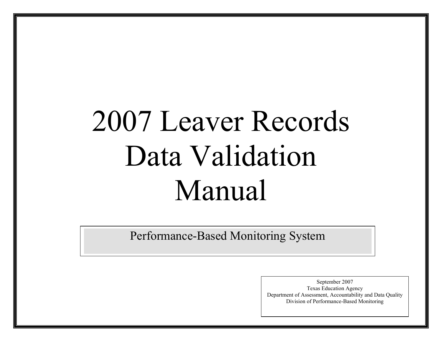# 2007 Leaver Records Data Validation Manual

Performance-Based Monitoring System

September 2007 Texas Education Agency Department of Assessment, Accountability and Data Quality Division of Performance-Based Monitoring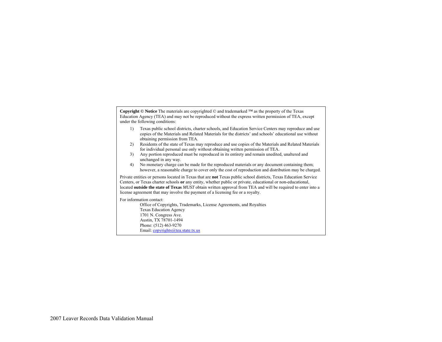**Copyright © Notice** The materials are copyrighted © and trademarked ™ as the property of the Texas Education Agency (TEA) and may not be reproduced without the express written permission of TEA, except under the following conditions:

- 1) Texas public school districts, charter schools, and Education Service Centers may reproduce and use copies of the Materials and Related Materials for the districts' and schools' educational use without obtaining permission from TEA.
- 2) Residents of the state of Texas may reproduce and use copies of the Materials and Related Materials for individual personal use only without obtaining written permission of TEA.
- 3) Any portion reproduced must be reproduced in its entirety and remain unedited, unaltered and unchanged in any way.
- 4) No monetary charge can be made for the reproduced materials or any document containing them; however, a reasonable charge to cover only the cost of reproduction and distribution may be charged.

Private entities or persons located in Texas that are **not** Texas public school districts, Texas Education Service Centers, or Texas charter schools **or** any entity, whether public or private, educational or non-educational, located **outside the state of Texas** *MUST* obtain written approval from TEA and will be required to enter into a license agreement that may involve the payment of a licensing fee or a royalty.

For information contact:

Office of Copyrights, Trademarks, License Agreements, and Royalties Texas Education Agency 1701 N. Congress Ave. Austin, TX 78701-1494 Phone: (512) 463-9270 Email: copyrights@tea.state.tx.us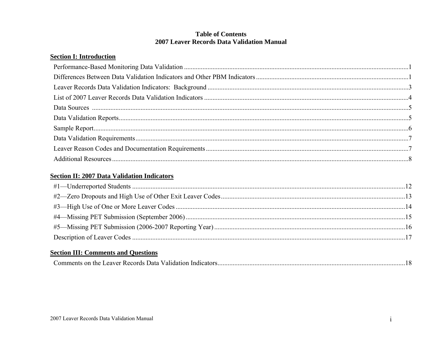#### **Table of Contents** 2007 Leaver Records Data Validation Manual

#### **Section I: Introduction**

#### **Section II: 2007 Data Validation Indicators**

#### **Section III: Comments and Questions**

| Comments on the Leaver Records Data Validation Indicators |
|-----------------------------------------------------------|
|-----------------------------------------------------------|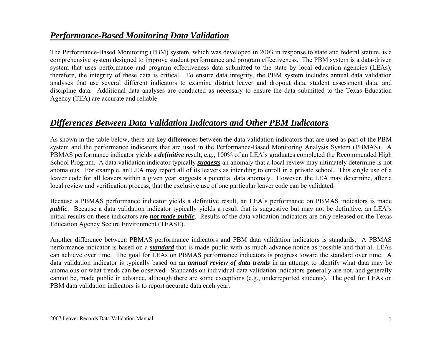## *Performance-Based Monitoring Data Validation*

The Performance-Based Monitoring (PBM) system, which was developed in 2003 in response to state and federal statute, is a comprehensive system designed to improve student performance and program effectiveness. The PBM system is a data-driven system that uses performance and program effectiveness data submitted to the state by local education agencies (LEAs); therefore, the integrity of these data is critical. To ensure data integrity, the PBM system includes annual data validation analyses that use several different indicators to examine district leaver and dropout data, student assessment data, and discipline data. Additional data analyses are conducted as necessary to ensure the data submitted to the Texas Education Agency (TEA) are accurate and reliable.

## *Differences Between Data Validation Indicators and Other PBM Indicators*

As shown in the table below, there are key differences between the data validation indicators that are used as part of the PBM system and the performance indicators that are used in the Performance-Based Monitoring Analysis System (PBMAS). A PBMAS performance indicator yields a *definitive* result, e.g., 100% of an LEA's graduates completed the Recommended High School Program. A data validation indicator typically *suggests* an anomaly that a local review may ultimately determine is not anomalous. For example, an LEA may report all of its leavers as intending to enroll in a private school. This single use of a leaver code for all leavers within a given year suggests a potential data anomaly. However, the LEA may determine, after a local review and verification process, that the exclusive use of one particular leaver code can be validated.

Because a PBMAS performance indicator yields a definitive result, an LEA's performance on PBMAS indicators is made *public*. Because a data validation indicator typically yields a result that is suggestive but may not be definitive, an LEA's initial results on these indicators are *not made public*. Results of the data validation indicators are only released on the Texas Education Agency Secure Environment (TEASE).

Another difference between PBMAS performance indicators and PBM data validation indicators is standards. A PBMAS performance indicator is based on a *standard* that is made public with as much advance notice as possible and that all LEAs can achieve over time. The goal for LEAs on PBMAS performance indicators is progress toward the standard over time. A data validation indicator is typically based on an *annual review of data trends* in an attempt to identify what data may be anomalous or what trends can be observed. Standards on individual data validation indicators generally are not, and generally cannot be, made public in advance, although there are some exceptions (e.g., underreported students). The goal for LEAs on PBM data validation indicators is to report accurate data each year.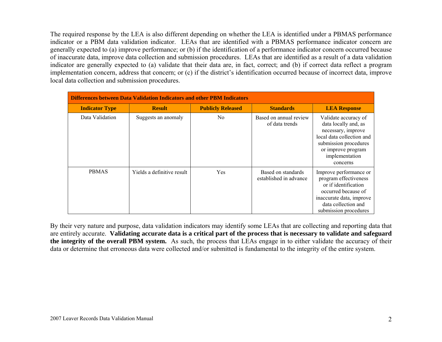The required response by the LEA is also different depending on whether the LEA is identified under a PBMAS performance indicator or a PBM data validation indicator. LEAs that are identified with a PBMAS performance indicator concern are generally expected to (a) improve performance; or (b) if the identification of a performance indicator concern occurred because of inaccurate data, improve data collection and submission procedures. LEAs that are identified as a result of a data validation indicator are generally expected to (a) validate that their data are, in fact, correct; and (b) if correct data reflect a program implementation concern, address that concern; or (c) if the district's identification occurred because of incorrect data, improve local data collection and submission procedures.

| <b>Differences between Data Validation Indicators and other PBM Indicators</b> |                            |                          |                                              |                                                                                                                                                                              |
|--------------------------------------------------------------------------------|----------------------------|--------------------------|----------------------------------------------|------------------------------------------------------------------------------------------------------------------------------------------------------------------------------|
| <b>Indicator Type</b>                                                          | <b>Result</b>              | <b>Publicly Released</b> | <b>Standards</b>                             | <b>LEA Response</b>                                                                                                                                                          |
| Data Validation                                                                | Suggests an anomaly        | N <sub>0</sub>           | Based on annual review<br>of data trends     | Validate accuracy of<br>data locally and, as<br>necessary, improve<br>local data collection and<br>submission procedures<br>or improve program<br>implementation<br>concerns |
| <b>PBMAS</b>                                                                   | Yields a definitive result | <b>Yes</b>               | Based on standards<br>established in advance | Improve performance or<br>program effectiveness<br>or if identification<br>occurred because of<br>inaccurate data, improve<br>data collection and<br>submission procedures   |

By their very nature and purpose, data validation indicators may identify some LEAs that are collecting and reporting data that are entirely accurate. **Validating accurate data is a critical part of the process that is necessary to validate and safeguard the integrity of the overall PBM system.** As such, the process that LEAs engage in to either validate the accuracy of their data or determine that erroneous data were collected and/or submitted is fundamental to the integrity of the entire system.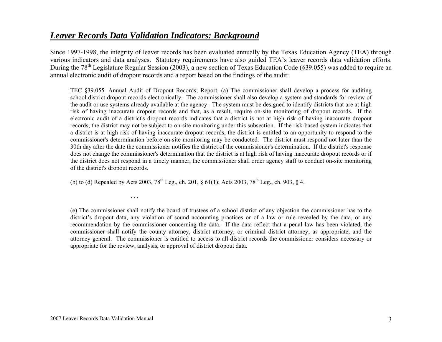## *Leaver Records Data Validation Indicators: Background*

**. . .** 

Since 1997-1998, the integrity of leaver records has been evaluated annually by the Texas Education Agency (TEA) through various indicators and data analyses. Statutory requirements have also guided TEA's leaver records data validation efforts. During the 78<sup>th</sup> Legislature Regular Session (2003), a new section of Texas Education Code (§39.055) was added to require an annual electronic audit of dropout records and a report based on the findings of the audit:

TEC §39.055. Annual Audit of Dropout Records; Report. (a) The commissioner shall develop a process for auditing school district dropout records electronically. The commissioner shall also develop a system and standards for review of the audit or use systems already available at the agency. The system must be designed to identify districts that are at high risk of having inaccurate dropout records and that, as a result, require on-site monitoring of dropout records. If the electronic audit of a district's dropout records indicates that a district is not at high risk of having inaccurate dropout records, the district may not be subject to on-site monitoring under this subsection. If the risk-based system indicates that a district is at high risk of having inaccurate dropout records, the district is entitled to an opportunity to respond to the commissioner's determination before on-site monitoring may be conducted. The district must respond not later than the 30th day after the date the commissioner notifies the district of the commissioner's determination. If the district's response does not change the commissioner's determination that the district is at high risk of having inaccurate dropout records or if the district does not respond in a timely manner, the commissioner shall order agency staff to conduct on-site monitoring of the district's dropout records.

(b) to (d) Repealed by Acts 2003,  $78^{th}$  Leg., ch. 201, § 61(1); Acts 2003,  $78^{th}$  Leg., ch. 903, § 4.

(e) The commissioner shall notify the board of trustees of a school district of any objection the commissioner has to the district's dropout data, any violation of sound accounting practices or of a law or rule revealed by the data, or any recommendation by the commissioner concerning the data. If the data reflect that a penal law has been violated, the commissioner shall notify the county attorney, district attorney, or criminal district attorney, as appropriate, and the attorney general. The commissioner is entitled to access to all district records the commissioner considers necessary or appropriate for the review, analysis, or approval of district dropout data.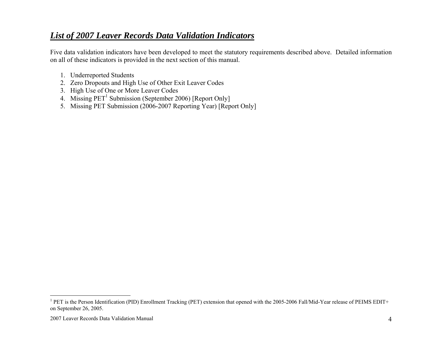# *List of 2007 Leaver Records Data Validation Indicators*

Five data validation indicators have been developed to meet the statutory requirements described above. Detailed information on all of these indicators is provided in the next section of this manual.

- 1. Underreported Students
- 2. Zero Dropouts and High Use of Other Exit Leaver Codes
- 3. High Use of One or More Leaver Codes
- 4. Missing PET<sup>1</sup> Submission (September 2006) [Report Only]
- 5. Missing PET Submission (2006-2007 Reporting Year) [Report Only]

<sup>&</sup>lt;sup>1</sup> PET is the Person Identification (PID) Enrollment Tracking (PET) extension that opened with the 2005-2006 Fall/Mid-Year release of PEIMS EDIT+ on September 26, 2005.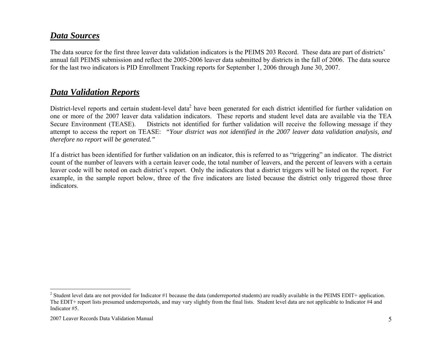## *Data Sources*

The data source for the first three leaver data validation indicators is the PEIMS 203 Record. These data are part of districts' annual fall PEIMS submission and reflect the 2005-2006 leaver data submitted by districts in the fall of 2006. The data source for the last two indicators is PID Enrollment Tracking reports for September 1, 2006 through June 30, 2007.

## *Data Validation Reports*

District-level reports and certain student-level data<sup>2</sup> have been generated for each district identified for further validation on one or more of the 2007 leaver data validation indicators. These reports and student level data are available via the TEA<br>Secure Environment (TEASE). Districts not identified for further validation will receive the followi Districts not identified for further validation will receive the following message if they attempt to access the report on TEASE: *"Your district was not identified in the 2007 leaver data validation analysis, and therefore no report will be generated."* 

If a district has been identified for further validation on an indicator, this is referred to as "triggering" an indicator. The district count of the number of leavers with a certain leaver code, the total number of leavers, and the percent of leavers with a certain leaver code will be noted on each district's report. Only the indicators that a district triggers will be listed on the report. For example, in the sample report below, three of the five indicators are listed because the district only triggered those three indicators.

<sup>&</sup>lt;sup>2</sup> Student level data are not provided for Indicator #1 because the data (underreported students) are readily available in the PEIMS EDIT+ application. The EDIT+ report lists presumed underreporteds, and may vary slightly from the final lists. Student level data are not applicable to Indicator #4 and Indicator #5.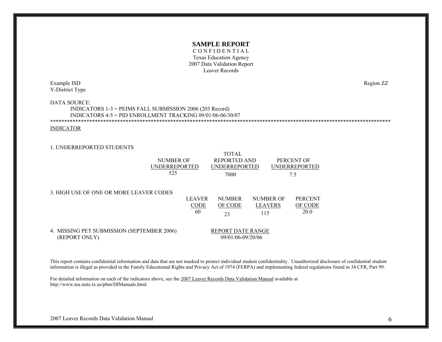#### **SAMPLE REPORT** C O N F I D E N T I A L Texas Education Agency 2007 Data Validation Report Leaver Records

#### Example ISD Region ZZ Y-District Type

#### DATA SOURCE:

INDICATORS 1-3 = PEIMS FALL SUBMISSION 2006 (203 Record) INDICATORS 4-5 = PID ENROLLMENT TRACKING 09/01/06-06/30/07 \*\*\*\*\*\*\*\*\*\*\*\*\*\*\*\*\*\*\*\*\*\*\*\*\*\*\*\*\*\*\*\*\*\*\*\*\*\*\*\*\*\*\*\*\*\*\*\*\*\*\*\*\*\*\*\*\*\*\*\*\*\*\*\*\*\*\*\*\*\*\*\*\*\*\*\*\*\*\*\*\*\*\*\*\*\*\*\*\*\*\*\*\*\*\*\*\*\*\*\*\*\*\*\*\*\*\*\*\*\*\*\*\*\*\*\*\*\*\*\*\*\*

 $T$  $T$ 

INDICATOR

### 1. UNDERREPORTED STUDENTS

|                                                             | <b>NUMBER OF</b><br><b>UNDERREPORTED</b> |                             | TOTAL<br><b>REPORTED AND</b><br>UNDERREPORTED |                                    | PERCENT OF<br>UNDERREPORTED       |  |
|-------------------------------------------------------------|------------------------------------------|-----------------------------|-----------------------------------------------|------------------------------------|-----------------------------------|--|
|                                                             | 525                                      |                             | 7000                                          |                                    | 7.5                               |  |
| 3. HIGH USE OF ONE OR MORE LEAVER CODES                     |                                          | <b>LEAVER</b><br>CODE<br>60 | <b>NUMBER</b><br>OF CODE<br>23                | NUMBER OF<br><b>LEAVERS</b><br>115 | <b>PERCENT</b><br>OF CODE<br>20.0 |  |
| 4. MISSING PET SUBMISSION (SEPTEMBER 2006)<br>(REPORT ONLY) |                                          |                             | <b>REPORT DATE RANGE</b><br>09/01/06-09/20/06 |                                    |                                   |  |

This report contains confidential information and data that are not masked to protect individual student confidentiality. Unauthorized disclosure of confidential student information is illegal as provided in the Family Educational Rights and Privacy Act of 1974 (FERPA) and implementing federal regulations found in 34 CFR, Part 99.

For detailed information on each of the indicators above, see the 2007 Leaver Records Data Validation Manual available at http://www.tea.state.tx.us/pbm/DIManuals.html.

2007 Leaver Records Data Validation Manual 6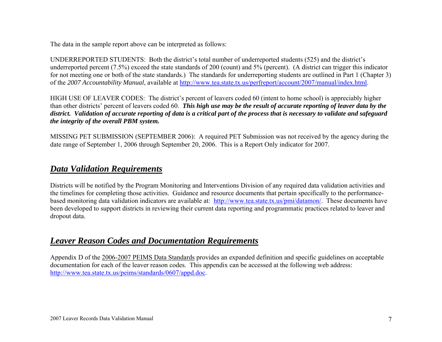The data in the sample report above can be interpreted as follows:

UNDERREPORTED STUDENTS: Both the district's total number of underreported students (525) and the district's underreported percent (7.5%) exceed the state standards of 200 (count) and 5% (percent). (A district can trigger this indicator for not meeting one or both of the state standards.) The standards for underreporting students are outlined in Part 1 (Chapter 3) of the *2007 Accountability Manual*, available at http://www.tea.state.tx.us/perfreport/account/2007/manual/index.html.

HIGH USE OF LEAVER CODES: The district's percent of leavers coded 60 (intent to home school) is appreciably higher than other districts' percent of leavers coded 60. *This high use may be the result of accurate reporting of leaver data by the district. Validation of accurate reporting of data is a critical part of the process that is necessary to validate and safeguard the integrity of the overall PBM system.* 

MISSING PET SUBMISSION (SEPTEMBER 2006): A required PET Submission was not received by the agency during the date range of September 1, 2006 through September 20, 2006. This is a Report Only indicator for 2007.

## *Data Validation Requirements*

Districts will be notified by the Program Monitoring and Interventions Division of any required data validation activities and the timelines for completing those activities. Guidance and resource documents that pertain specifically to the performancebased monitoring data validation indicators are available at: http://www.tea.state.tx.us/pmi/datamon/. These documents have been developed to support districts in reviewing their current data reporting and programmatic practices related to leaver and dropout data.

## *Leaver Reason Codes and Documentation Requirements*

Appendix D of the 2006-2007 PEIMS Data Standards provides an expanded definition and specific guidelines on acceptable documentation for each of the leaver reason codes. This appendix can be accessed at the following web address: http://www.tea.state.tx.us/peims/standards/0607/appd.doc.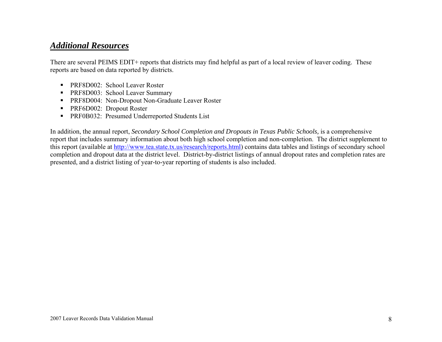## *Additional Resources*

There are several PEIMS EDIT+ reports that districts may find helpful as part of a local review of leaver coding. These reports are based on data reported by districts.

- PRF8D002: School Leaver Roster
- **PRF8D003: School Leaver Summary**
- PRF8D004: Non-Dropout Non-Graduate Leaver Roster
- PRF6D002: Dropout Roster
- PRF0B032: Presumed Underreported Students List

In addition, the annual report, *Secondary School Completion and Dropouts in Texas Public Schools,* is a comprehensive report that includes summary information about both high school completion and non-completion. The district supplement to this report (available at http://www.tea.state.tx.us/research/reports.html) contains data tables and listings of secondary school completion and dropout data at the district level. District-by-district listings of annual dropout rates and completion rates are presented, and a district listing of year-to-year reporting of students is also included.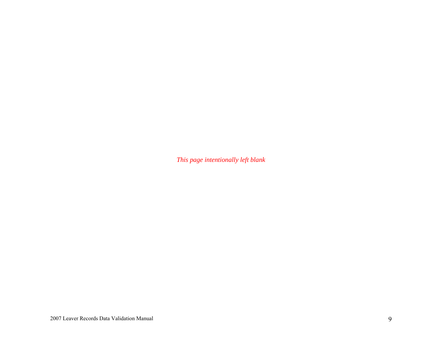*This page intentionally left blank*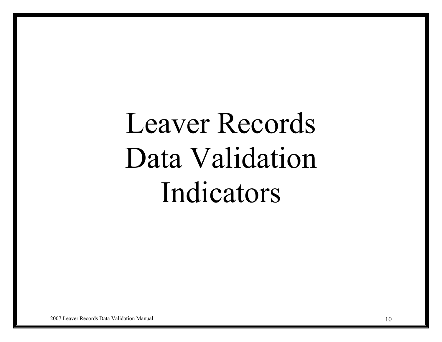# Leaver Records Data Validation Indicators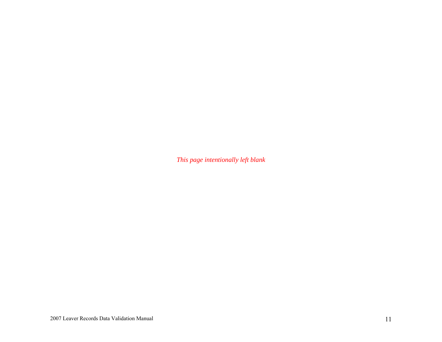*This page intentionally left blank*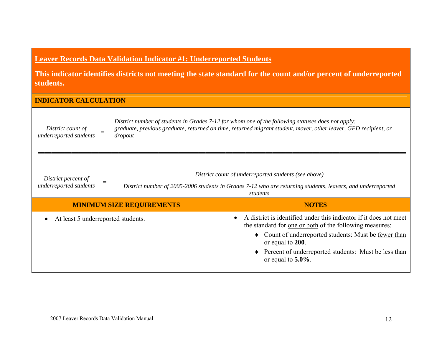## **Leaver Records Data Validation Indicator #1: Underreported Students**

**This indicator identifies districts not meeting the state standard for the count and/or percent of underreported students.** 

#### **INDICATOR CALCULATION**

| District count of<br>$=$<br>underreported students<br>dropout | District number of students in Grades 7-12 for whom one of the following statuses does not apply:<br>graduate, previous graduate, returned on time, returned migrant student, mover, other leaver, GED recipient, or                                                                                   |
|---------------------------------------------------------------|--------------------------------------------------------------------------------------------------------------------------------------------------------------------------------------------------------------------------------------------------------------------------------------------------------|
| District percent of<br>underreported students                 | District count of underreported students (see above)<br>District number of 2005-2006 students in Grades 7-12 who are returning students, leavers, and underreported<br>students                                                                                                                        |
| <b>MINIMUM SIZE REQUIREMENTS</b>                              | <b>NOTES</b>                                                                                                                                                                                                                                                                                           |
| At least 5 underreported students.                            | A district is identified under this indicator if it does not meet<br>the standard for <u>one or both</u> of the following measures:<br>Count of underreported students: Must be fewer than<br>or equal to 200.<br>Percent of underreported students: Must be <u>less than</u><br>or equal to $5.0\%$ . |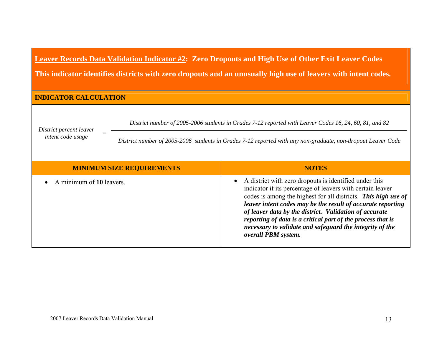**Leaver Records Data Validation Indicator #2: Zero Dropouts and High Use of Other Exit Leaver Codes** 

**This indicator identifies districts with zero dropouts and an unusually high use of leavers with intent codes.** 

#### **INDICATOR CALCULATION**

*District number of 2005-2006 students in Grades 7-12 reported with Leaver Codes 16, 24, 60, 81, and 82* 

*District percent leaver* 

*intent code usage* <sup>=</sup>*District number of 2005-2006 students in Grades 7-12 reported with any non-graduate, non-dropout Leaver Code* 

| <b>MINIMUM SIZE REQUIREMENTS</b> | <b>NOTES</b>                                                                                                                                                                                                                                                                                                                                                                                                                                                        |
|----------------------------------|---------------------------------------------------------------------------------------------------------------------------------------------------------------------------------------------------------------------------------------------------------------------------------------------------------------------------------------------------------------------------------------------------------------------------------------------------------------------|
| • A minimum of $10$ leavers.     | • A district with zero dropouts is identified under this<br>indicator if its percentage of leavers with certain leaver<br>codes is among the highest for all districts. This high use of<br>leaver intent codes may be the result of accurate reporting<br>of leaver data by the district. Validation of accurate<br>reporting of data is a critical part of the process that is<br>necessary to validate and safeguard the integrity of the<br>overall PBM system. |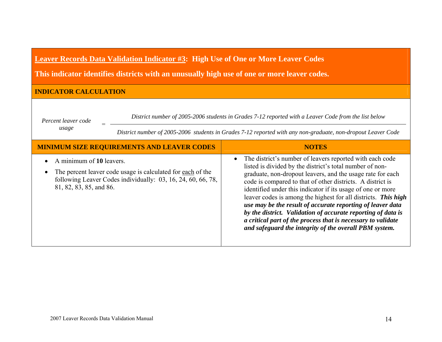**Leaver Records Data Validation Indicator #3: High Use of One or More Leaver Codes** 

**This indicator identifies districts with an unusually high use of one or more leaver codes.** 

### **INDICATOR CALCULATION**

 $-$ 

*District number of 2005-2006 students in Grades 7-12 reported with a Leaver Code from the list below* 

Percent leaver code *usage* 

*District number of 2005-2006 students in Grades 7-12 reported with any non-graduate, non-dropout Leaver Code* 

| <b>MINIMUM SIZE REQUIREMENTS AND LEAVER CODES</b>                                                                                                                                               | <b>NOTES</b>                                                                                                                                                                                                                                                                                                                                                                                                                                                                                                                                                                                                                              |
|-------------------------------------------------------------------------------------------------------------------------------------------------------------------------------------------------|-------------------------------------------------------------------------------------------------------------------------------------------------------------------------------------------------------------------------------------------------------------------------------------------------------------------------------------------------------------------------------------------------------------------------------------------------------------------------------------------------------------------------------------------------------------------------------------------------------------------------------------------|
| A minimum of 10 leavers.<br>The percent leaver code usage is calculated for each of the<br>$\bullet$<br>following Leaver Codes individually: 03, 16, 24, 60, 66, 78,<br>81, 82, 83, 85, and 86. | The district's number of leavers reported with each code<br>listed is divided by the district's total number of non-<br>graduate, non-dropout leavers, and the usage rate for each<br>code is compared to that of other districts. A district is<br>identified under this indicator if its usage of one or more<br>leaver codes is among the highest for all districts. This high<br>use may be the result of accurate reporting of leaver data<br>by the district. Validation of accurate reporting of data is<br>a critical part of the process that is necessary to validate<br>and safeguard the integrity of the overall PBM system. |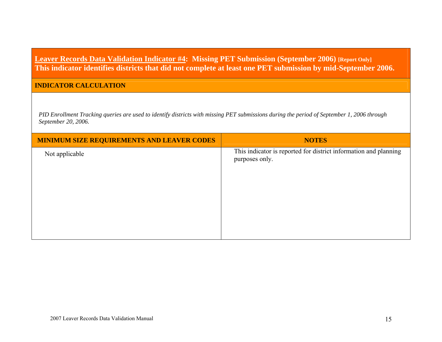**Leaver Records Data Validation Indicator #4: Missing PET Submission (September 2006) [Report Only] This indicator identifies districts that did not complete at least one PET submission by mid-September 2006.** 

#### **INDICATOR CALCULATION**

*PID Enrollment Tracking queries are used to identify districts with missing PET submissions during the period of September 1, 2006 through September 20, 2006.* 

| MINIMUM SIZE REQUIREMENTS AND LEAVER CODES | <b>NOTES</b>                                                                       |
|--------------------------------------------|------------------------------------------------------------------------------------|
| Not applicable                             | This indicator is reported for district information and planning<br>purposes only. |
|                                            |                                                                                    |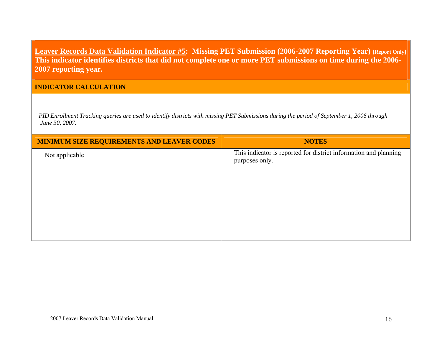**Leaver Records Data Validation Indicator #5: Missing PET Submission (2006-2007 Reporting Year) [Report Only] This indicator identifies districts that did not complete one or more PET submissions on time during the 2006- 2007 reporting year.** 

#### **INDICATOR CALCULATION**

*PID Enrollment Tracking queries are used to identify districts with missing PET Submissions during the period of September 1, 2006 through June 30, 2007.* 

| <b>MINIMUM SIZE REQUIREMENTS AND LEAVER CODES</b> | <b>NOTES</b>                                                                       |
|---------------------------------------------------|------------------------------------------------------------------------------------|
| Not applicable                                    | This indicator is reported for district information and planning<br>purposes only. |
|                                                   |                                                                                    |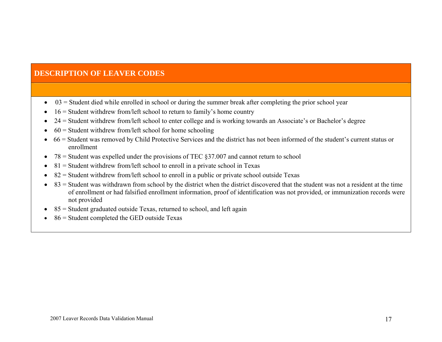## **DESCRIPTION OF LEAVER CODES**

- $\bullet$  03 = Student died while enrolled in school or during the summer break after completing the prior school year
- • $16 =$  Student withdrew from/left school to return to family's home country
- •24 = Student withdrew from/left school to enter college and is working towards an Associate's or Bachelor's degree
- • $60 =$  Student withdrew from/left school for home schooling
- • 66 = Student was removed by Child Protective Services and the district has not been informed of the student's current status or enrollment
- • $78$  = Student was expelled under the provisions of TEC  $\S 37.007$  and cannot return to school
- •81 = Student withdrew from/left school to enroll in a private school in Texas
- •82 = Student withdrew from/left school to enroll in a public or private school outside Texas
- • $83$  = Student was withdrawn from school by the district when the district discovered that the student was not a resident at the time of enrollment or had falsified enrollment information, proof of identification was not provided, or immunization records were not provided
- •85 = Student graduated outside Texas, returned to school, and left again
- •86 = Student completed the GED outside Texas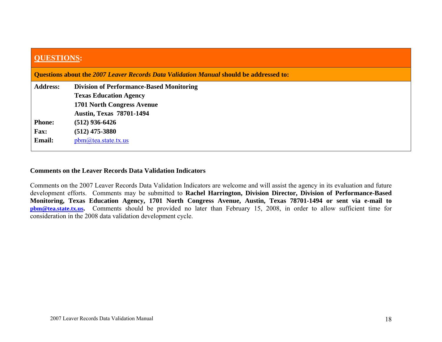| <b>QUESTIONS:</b> |                                                                                        |  |  |
|-------------------|----------------------------------------------------------------------------------------|--|--|
|                   | Questions about the 2007 Leaver Records Data Validation Manual should be addressed to: |  |  |
| <b>Address:</b>   | <b>Division of Performance-Based Monitoring</b>                                        |  |  |
|                   | <b>Texas Education Agency</b>                                                          |  |  |
|                   | <b>1701 North Congress Avenue</b>                                                      |  |  |
|                   | <b>Austin, Texas 78701-1494</b>                                                        |  |  |
| <b>Phone:</b>     | $(512)$ 936-6426                                                                       |  |  |
| Fax:              | $(512)$ 475-3880                                                                       |  |  |
| <b>Email:</b>     | $pbm(a)$ tea.state.tx.us                                                               |  |  |

#### **Comments on the Leaver Records Data Validation Indicators**

Comments on the 2007 Leaver Records Data Validation Indicators are welcome and will assist the agency in its evaluation and future development efforts. Comments may be submitted to **Rachel Harrington, Division Director, Division of Performance-Based Monitoring, Texas Education Agency, 1701 North Congress Avenue, Austin, Texas 78701-1494 or sent via e-mail to pbm@tea.state.tx.us.** Comments should be provided no later than February 15, 2008, in order to allow sufficient time for consideration in the 2008 data validation development cycle.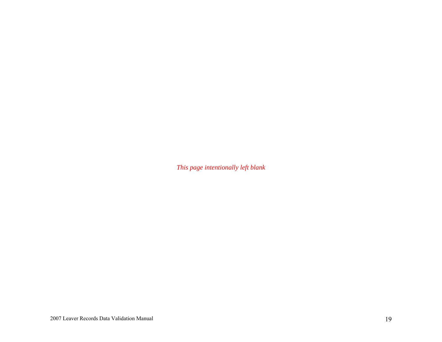*This page intentionally left blank*